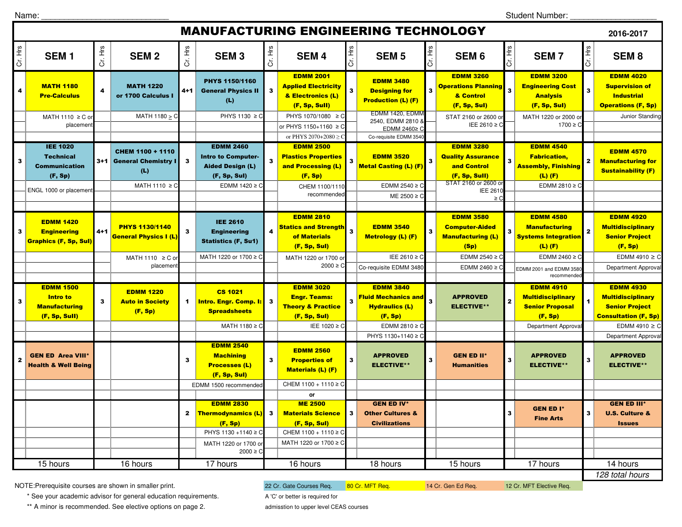Student Number: \_\_\_\_\_\_\_\_\_\_\_\_\_\_\_\_\_\_\_

| <b>MANUFACTURING ENGINEERING TECHNOLOGY</b><br>2016-2017 |                                                                                                  |         |                                                                          |              |                                                                                                               |         |                                                                                                   |                         |                                                                                    |         |                                                                                                                         |              |                                                                                                            |              |                                                                                                      |
|----------------------------------------------------------|--------------------------------------------------------------------------------------------------|---------|--------------------------------------------------------------------------|--------------|---------------------------------------------------------------------------------------------------------------|---------|---------------------------------------------------------------------------------------------------|-------------------------|------------------------------------------------------------------------------------|---------|-------------------------------------------------------------------------------------------------------------------------|--------------|------------------------------------------------------------------------------------------------------------|--------------|------------------------------------------------------------------------------------------------------|
| ЯH<br>ö                                                  | SEM <sub>1</sub>                                                                                 | Cr. Hrs | <b>SEM2</b>                                                              | Cr. Hrs      | <b>SEM3</b>                                                                                                   | Cr. Hrs | <b>SEM4</b>                                                                                       | Cr. Hrs                 | <b>SEM 5</b>                                                                       | Cr. Hrs | SEM <sub>6</sub>                                                                                                        | Cr. Hrs      | <b>SEM7</b>                                                                                                | Cr. Hrs      | <b>SEM8</b>                                                                                          |
| 4                                                        | <b>MATH 1180</b><br><b>Pre-Calculus</b>                                                          | 4       | <b>MATH 1220</b><br>or 1700 Calculus I                                   | $4 + 1$      | PHYS 1150/1160<br><b>General Physics II</b><br>(L)                                                            |         | <b>EDMM 2001</b><br><b>Applied Electricity</b><br>& Electronics (L)<br>(F, Sp, Sull)              | $\mathbf{3}$            | <b>EDMM 3480</b><br><b>Designing for</b><br><b>Production (L) (F)</b>              | 3       | <b>EDMM 3260</b><br><b>Operations Planning</b><br>& Control<br>(F, Sp, Sul)                                             |              | <b>EDMM 3200</b><br><b>Engineering Cost</b><br><b>Analysis</b><br>(F, Sp, Sul)                             | $\mathbf{3}$ | <b>EDMM 4020</b><br><b>Supervision of</b><br><b>Industrial</b><br><b>Operations (F, Sp)</b>          |
|                                                          | MATH 1110 $\geq$ C or<br>placement                                                               |         | MATH 1180 $\geq$ C                                                       |              | PHYS 1130 ≥ C                                                                                                 |         | PHYS 1070/1080 ≥ C<br>or PHYS 1150+1160 ≥ C<br>or PHYS $2070+2080$ >                              |                         | EDMM 1420, EDMM<br>2540, EDMM 2810 8<br>EDMM 2460≥ C<br>Co-requisite EDMM 3540     |         | STAT 2160 or 2600 or<br>IEE 2610 ≥ C                                                                                    |              | MATH 1220 or 2000 o<br>$1700 \ge C$                                                                        |              | Junior Standing                                                                                      |
| 3                                                        | <b>IEE 1020</b><br><b>Technical</b><br><b>Communication</b><br>(F, Sp)<br>ENGL 1000 or placement |         | CHEM 1100 + 1110<br>3+1 General Chemistry I<br>(L)<br>MATH 1110 $\geq$ C | $\mathbf{3}$ | <b>EDMM 2460</b><br><b>Intro to Computer-</b><br><b>Aided Design (L)</b><br>(F, Sp, Sul)<br>EDMM $1420 \ge C$ | 3       | <b>EDMM 2500</b><br><b>Plastics Properties</b><br>and Processing (L)<br>(F, Sp)<br>CHEM 1100/1110 | 3                       | <b>EDMM 3520</b><br>Metal Casting (L) (F)<br>EDMM 2540 $\geq$ C                    | 3       | <b>EDMM 3280</b><br><b>Quality Assurance</b><br>and Control<br>(F, Sp, Sull)<br>STAT 2160 or 2600 or<br><b>IEE 2610</b> | $\mathbf{3}$ | <b>EDMM 4540</b><br><b>Fabrication,</b><br><b>Assembly, Finishing</b><br>$(L)$ $(F)$<br>EDMM 2810 $\geq$ C | 2            | <b>EDMM 4570</b><br><b>Manufacturing for</b><br><b>Sustainability (F)</b>                            |
|                                                          |                                                                                                  |         |                                                                          |              |                                                                                                               |         | recommended<br><b>EDMM 2810</b>                                                                   |                         | $ME 2500 \geq C$                                                                   |         | $\geq$ C<br><b>EDMM 3580</b>                                                                                            |              | <b>EDMM 4580</b>                                                                                           |              | <b>EDMM 4920</b>                                                                                     |
| 3                                                        | <b>EDMM 1420</b><br><b>Engineering</b><br><b>Graphics (F, Sp, Sul)</b>                           | $4 + 1$ | <b>PHYS 1130/1140</b><br><b>General Physics I (L)</b>                    | $\mathbf{3}$ | <b>IEE 2610</b><br><b>Engineering</b><br><b>Statistics (F, Su1)</b>                                           |         | <b>Statics and Strength</b><br>of Materials<br>(F, Sp, Sul)                                       | $\overline{\mathbf{3}}$ | <b>EDMM 3540</b><br><b>Metrology (L) (F)</b>                                       |         | <b>Computer-Aided</b><br><b>Manufacturing (L)</b><br>(Sp)                                                               | 3            | <b>Manufacturing</b><br><b>Systems Integration</b><br>$(L)$ $(F)$                                          |              | <b>Multidisciplinary</b><br><b>Senior Project</b><br>(F, Sp)                                         |
|                                                          |                                                                                                  |         | MATH 1110 $\geq$ C or<br>placemen                                        |              | MATH 1220 or 1700 ≥ C                                                                                         |         | MATH 1220 or 1700 or<br>$2000 \ge C$                                                              |                         | IEE 2610 ≥ C<br>Co-requisite EDMM 3480                                             |         | EDMM 2540 $\geq$ C<br>EDMM 2460 $\geq$ C                                                                                |              | EDMM 2460 $\geq$ C<br>EDMM 2001 and EDMM 3580<br>recommended                                               |              | EDMM 4910 $\geq$ C<br>Department Approval                                                            |
| 3                                                        | <b>EDMM 1500</b><br><b>Intro to</b><br><b>Manufacturing</b><br>(F, Sp, Sull)                     | 3       | <b>EDMM 1220</b><br><b>Auto in Society</b><br>(F, Sp)                    | $\mathbf{1}$ | <b>CS 1021</b><br><b>Intro. Engr. Comp. I:</b><br><b>Spreadsheets</b>                                         | 3       | <b>EDMM 3020</b><br><b>Engr. Teams:</b><br><b>Theory &amp; Practice</b><br>(F, Sp, Sul)           | $\overline{\mathbf{3}}$ | <b>EDMM 3840</b><br><b>Fluid Mechanics and</b><br><b>Hydraulics (L)</b><br>(F, Sp) | 3       | <b>APPROVED</b><br><b>ELECTIVE**</b>                                                                                    |              | <b>EDMM 4910</b><br><b>Multidisciplinary</b><br><b>Senior Proposal</b><br>(F, Sp)                          | $\mathbf{1}$ | <b>EDMM 4930</b><br><b>Multidisciplinary</b><br><b>Senior Project</b><br><b>Consultation (F, Sp)</b> |
|                                                          |                                                                                                  |         |                                                                          |              | MATH 1180 ≥ C                                                                                                 |         | IEE 1020 ≥ C                                                                                      |                         | EDMM 2810 $\geq$ C<br>PHYS 1130+1140 ≥ C                                           |         |                                                                                                                         |              | Department Approva                                                                                         |              | EDMM 4910 $\geq$ C<br>Department Approva                                                             |
| $\mathbf{2}$                                             | <b>GEN ED Area VIII*</b><br><b>Health &amp; Well Being</b>                                       |         |                                                                          | 3            | <b>EDMM 2540</b><br><b>Machining</b><br><b>Processes (L)</b><br>(F, Sp, Sul)                                  | 3       | <b>EDMM 2560</b><br><b>Properties of</b><br><b>Materials (L) (F)</b>                              | 3                       | <b>APPROVED</b><br><b>ELECTIVE**</b>                                               |         | <b>GEN ED II*</b><br><b>Humanities</b>                                                                                  | 3            | <b>APPROVED</b><br><b>ELECTIVE**</b>                                                                       | 3            | <b>APPROVED</b><br><b>ELECTIVE**</b>                                                                 |
|                                                          |                                                                                                  |         |                                                                          |              | EDMM 1500 recommended                                                                                         |         | CHEM 1100 + 1110 ≥ C<br>or                                                                        |                         |                                                                                    |         |                                                                                                                         |              |                                                                                                            |              |                                                                                                      |
|                                                          |                                                                                                  |         |                                                                          |              | <b>EDMM 2830</b><br><b>Thermodynamics (L)</b><br>(F, Sp)<br>PHYS 1130 +1140 ≥ C                               |         | <b>ME 2500</b><br><b>Materials Science</b><br>(F, Sp, Sul)<br>CHEM 1100 + 1110 ≥ C                |                         | <b>GEN ED IV*</b><br><b>Other Cultures &amp;</b><br><b>Civilizations</b>           |         |                                                                                                                         |              | <b>GEN ED I*</b><br><b>Fine Arts</b>                                                                       |              | <b>GEN ED III*</b><br><b>U.S. Culture &amp;</b><br><b>Issues</b>                                     |
|                                                          |                                                                                                  |         |                                                                          |              | MATH 1220 or 1700 or<br>$2000 \ge C$                                                                          |         | MATH 1220 or 1700 ≥ C                                                                             |                         |                                                                                    |         |                                                                                                                         |              |                                                                                                            |              |                                                                                                      |
|                                                          | 15 hours                                                                                         |         | 16 hours                                                                 |              | 17 hours                                                                                                      |         | 16 hours                                                                                          |                         | 18 hours                                                                           |         | 15 hours                                                                                                                |              | 17 hours                                                                                                   |              | 14 hours<br>128 total hours                                                                          |

NOTE:Prerequisite courses are shown in smaller print.

\* See your academic advisor for general education requirements.

\*\* A minor is recommended. See elective options on page 2.

22 Cr. Gate Courses Req. 80 Cr. MFT Req. 14 Cr. Gen Ed Req. 12 Cr. MFT Elective Req. A 'C' or better is required for

admisstion to upper level CEAS courses